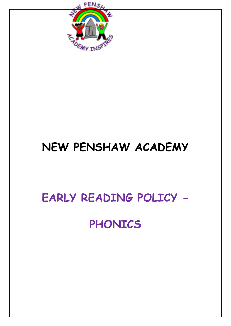

## **NEW PENSHAW ACADEMY**

# **EARLY READING POLICY -**

## **PHONICS**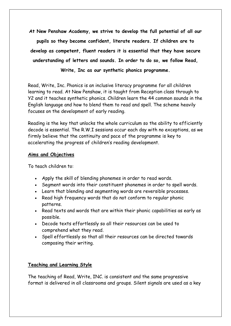**At New Penshaw Academy, we strive to develop the full potential of all our pupils so they become confident, literate readers. If children are to develop as competent, fluent readers it is essential that they have secure understanding of letters and sounds. In order to do so, we follow Read, Write, Inc as our synthetic phonics programme.**

Read, Write, Inc. Phonics is an inclusive literacy programme for all children learning to read. At New Penshaw, it is taught from Reception class through to Y2 and it teaches synthetic phonics. Children learn the 44 common sounds in the English language and how to blend them to read and spell. The scheme heavily focuses on the development of early reading.

Reading is the key that unlocks the whole curriculum so the ability to efficiently decode is essential. The R.W.I sessions occur each day with no exceptions, as we firmly believe that the continuity and pace of the programme is key to accelerating the progress of children's reading development.

#### **Aims and Objectives**

To teach children to:

- Apply the skill of blending phonemes in order to read words.
- Segment words into their constituent phonemes in order to spell words.
- Learn that blending and segmenting words are reversible processes.
- Read high frequency words that do not conform to regular phonic patterns.
- Read texts and words that are within their phonic capabilities as early as possible.
- Decode texts effortlessly so all their resources can be used to comprehend what they read.
- Spell effortlessly so that all their resources can be directed towards composing their writing.

## **Teaching and Learning Style**

The teaching of Read, Write, INC. is consistent and the same progressive format is delivered in all classrooms and groups. Silent signals are used as a key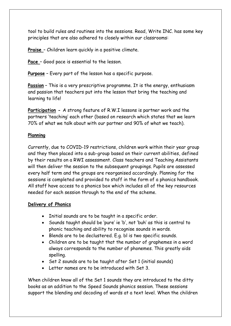tool to build rules and routines into the sessions. Read, Write INC. has some key principles that are also adhered to closely within our classrooms:

**Praise** – Children learn quickly in a positive climate.

**Pace** – Good pace is essential to the lesson.

**Purpose** – Every part of the lesson has a specific purpose.

**Passion** – This is a very prescriptive programme. It is the energy, enthusiasm and passion that teachers put into the lesson that bring the teaching and learning to life!

**Participation -** A strong feature of R.W.I lessons is partner work and the partners 'teaching' each other (based on research which states that we learn 70% of what we talk about with our partner and 90% of what we teach).

#### **Planning**

Currently, due to COVID-19 restrictions, children work within their year group and they then placed into a sub-group based on their current abilities, defined by their results on a RWI assessment. Class teachers and Teaching Assistants will then deliver the session to the subsequent groupings. Pupils are assessed every half term and the groups are reorganised accordingly. Planning for the sessions is completed and provided to staff in the form of a phonics handbook. All staff have access to a phonics box which includes all of the key resources needed for each session through to the end of the scheme.

#### **Delivery of Phonics**

- Initial sounds are to be taught in a specific order.
- Sounds taught should be 'pure' ie 'b', not 'buh' as this is central to phonic teaching and ability to recognise sounds in words.
- Blends are to be declustered. E.g. bl is two specific sounds.
- Children are to be taught that the number of graphemes in a word always corresponds to the number of phonemes. This greatly aids spelling.
- Set 2 sounds are to be taught after Set 1 (initial sounds)
- Letter names are to be introduced with Set 3.

When children know all of the Set 1 sounds they are introduced to the ditty books as an addition to the Speed Sounds phonics session. These sessions support the blending and decoding of words at a text level. When the children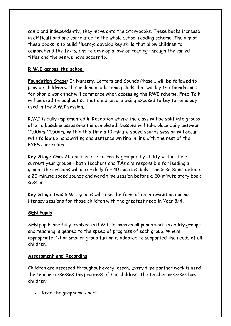can blend independently, they move onto the Storybooks. These books increase in difficult and are correlated to the whole school reading scheme. The aim of these books is to build fluency; develop key skills that allow children to comprehend the texts; and to develop a love of reading through the varied titles and themes we have access to.

## **R.W.I across the school**

**Foundation Stage**: In Nursery, Letters and Sounds Phase 1 will be followed to provide children with speaking and listening skills that will lay the foundations for phonic work that will commence when accessing the RWI scheme. Fred Talk will be used throughout so that children are being exposed to key terminology used in the R.W.I session.

R.W.I is fully implemented in Reception where the class will be split into groups after a baseline assessment is completed. Lessons will take place daily between 11.00am-11.50am. Within this time a 10-minute speed sounds session will occur with follow up handwriting and sentence writing in line with the rest of the EYFS curriculum.

**Key Stage One**: All children are currently grouped by ability within their current year groups – both teachers and TAs are responsible for leading a group. The sessions will occur daily for 40 minutes daily. These sessions include a 20-minute speed sounds and word time session before a 20-minute story book session.

**Key Stage Two**: R.W.I groups will take the form of an intervention during literacy sessions for those children with the greatest need in Year 3/4.

## **SEN Pupils**

SEN pupils are fully involved in R.W.I. lessons as all pupils work in ability groups and teaching is geared to the speed of progress of each group. Where appropriate, 1:1 or smaller group tuition is adopted to supported the needs of all children.

## **Assessment and Recording**

Children are assessed throughout every lesson. Every time partner work is used the teacher assesses the progress of her children. The teacher assesses how children:

• Read the grapheme chart